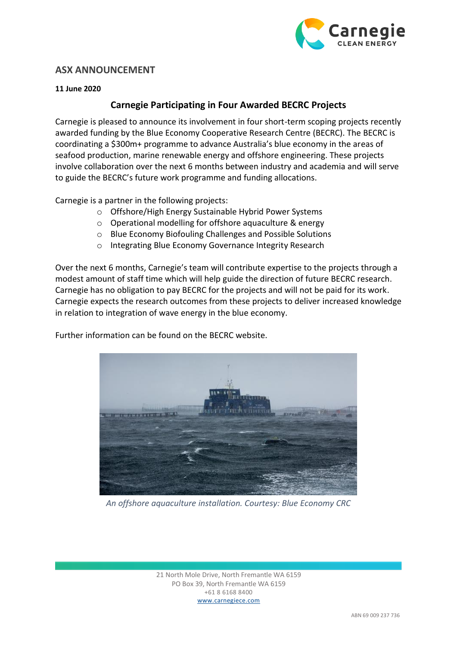

## **ASX ANNOUNCEMENT**

## **11 June 2020**

## **Carnegie Participating in Four Awarded BECRC Projects**

Carnegie is pleased to announce its involvement in four short-term scoping projects recently awarded funding by the Blue Economy Cooperative Research Centre (BECRC). The BECRC is coordinating a \$300m+ programme to advance Australia's blue economy in the areas of seafood production, marine renewable energy and offshore engineering. These projects involve collaboration over the next 6 months between industry and academia and will serve to guide the BECRC's future work programme and funding allocations.

Carnegie is a partner in the following projects:

- o Offshore/High Energy Sustainable Hybrid Power Systems
- o Operational modelling for offshore aquaculture & energy
- o Blue Economy Biofouling Challenges and Possible Solutions
- o Integrating Blue Economy Governance Integrity Research

Over the next 6 months, Carnegie's team will contribute expertise to the projects through a modest amount of staff time which will help guide the direction of future BECRC research. Carnegie has no obligation to pay BECRC for the projects and will not be paid for its work. Carnegie expects the research outcomes from these projects to deliver increased knowledge in relation to integration of wave energy in the blue economy.

Further information can be found on the BECRC website.



*An offshore aquaculture installation. Courtesy: Blue Economy CRC*